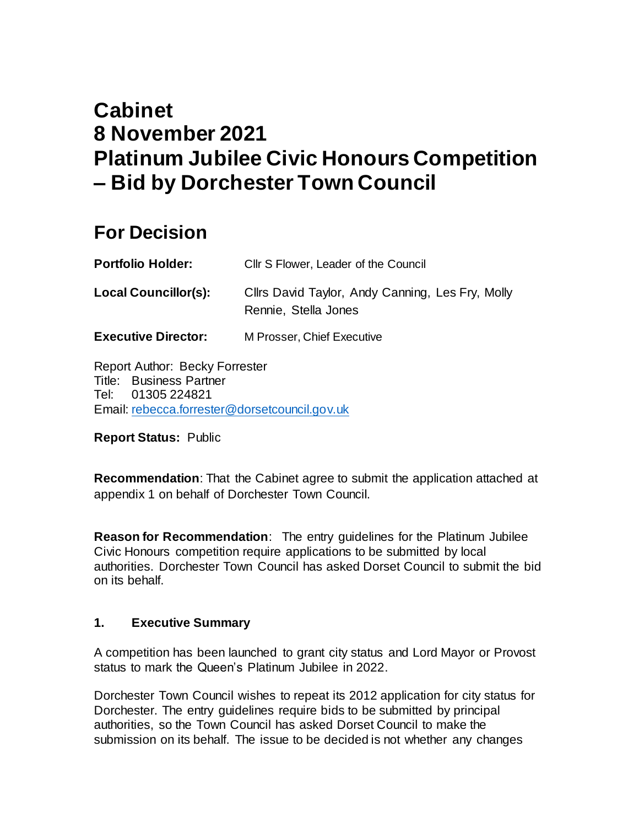# **Cabinet 8 November 2021 Platinum Jubilee Civic Honours Competition – Bid by Dorchester Town Council**

# **For Decision**

| <b>Portfolio Holder:</b>    | Cllr S Flower, Leader of the Council                                     |
|-----------------------------|--------------------------------------------------------------------------|
| <b>Local Councillor(s):</b> | Cllrs David Taylor, Andy Canning, Les Fry, Molly<br>Rennie, Stella Jones |
| <b>Executive Director:</b>  | M Prosser, Chief Executive                                               |

Report Author: Becky Forrester Title: Business Partner Tel: 01305 224821 Email: [rebecca.forrester@dorsetcouncil.gov.uk](mailto:rebecca.forrester@dorsetcouncil.gov.uk)

**Report Status:** Public

**Recommendation**: That the Cabinet agree to submit the application attached at appendix 1 on behalf of Dorchester Town Council.

**Reason for Recommendation**: The entry guidelines for the Platinum Jubilee Civic Honours competition require applications to be submitted by local authorities. Dorchester Town Council has asked Dorset Council to submit the bid on its behalf.

#### **1. Executive Summary**

A competition has been launched to grant city status and Lord Mayor or Provost status to mark the Queen's Platinum Jubilee in 2022.

Dorchester Town Council wishes to repeat its 2012 application for city status for Dorchester. The entry guidelines require bids to be submitted by principal authorities, so the Town Council has asked Dorset Council to make the submission on its behalf. The issue to be decided is not whether any changes